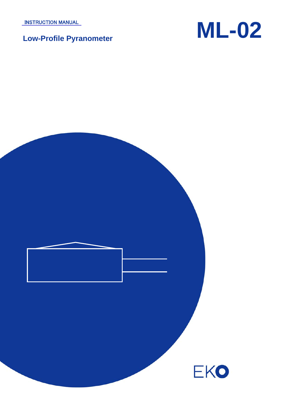INSTRUCTION MANUAL



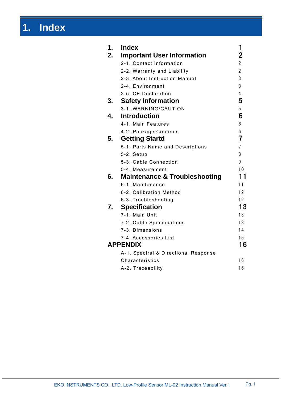# **1. Index**

| 1. | <b>Index</b>                             | 1              |
|----|------------------------------------------|----------------|
| 2. | <b>Important User Information</b>        | 2              |
|    | 2-1. Contact Information                 | $\overline{2}$ |
|    | 2-2. Warranty and Liability              | $\overline{2}$ |
|    | 2-3. About Instruction Manual            | 3              |
|    | 2-4. Environment                         | 3              |
|    | 2-5. CE Declaration                      | 4              |
| 3. | <b>Safety Information</b>                | 5              |
|    | 3-1. WARNING/CAUTION                     | 5              |
| 4. | <b>Introduction</b>                      | 6              |
|    | 4-1. Main Features                       | 6              |
|    | 4-2. Package Contents                    | 6              |
| 5. | <b>Getting Startd</b>                    | 7              |
|    | 5-1. Parts Name and Descriptions         | $\overline{7}$ |
|    | 5-2. Setup                               | 8              |
|    | 5-3. Cable Connection                    | 9              |
|    | 5-4. Measurement                         | 10             |
| 6. | <b>Maintenance &amp; Troubleshooting</b> | 11             |
|    | 6-1. Maintenance                         | 11             |
|    | 6-2. Calibration Method                  | 12             |
|    | 6-3. Troubleshooting                     | 12             |
| 7. | <b>Specification</b>                     | 13             |
|    | 7-1. Main Unit                           | 13             |
|    | 7-2. Cable Specifications                | 13             |
|    | 7-3. Dimensions                          | 14             |
|    | 7-4. Accessories List                    | 15             |
|    | <b>APPENDIX</b>                          | 16             |
|    | A-1. Spectral & Directional Response     |                |
|    | Characteristics                          | 16             |
|    | A-2. Traceability                        | 16             |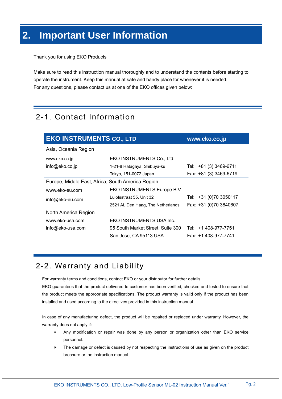# **2. Important User Information**

Thank you for using EKO Products

Make sure to read this instruction manual thoroughly and to understand the contents before starting to operate the instrument. Keep this manual at safe and handy place for whenever it is needed. For any questions, please contact us at one of the EKO offices given below:

# 2-1. Contact Information

| <b>EKO INSTRUMENTS CO., LTD</b><br>www.eko.co.jp  |                                   |                        |  |  |
|---------------------------------------------------|-----------------------------------|------------------------|--|--|
| Asia, Oceania Region                              |                                   |                        |  |  |
| www.eko.co.jp                                     | EKO INSTRUMENTS Co., Ltd.         |                        |  |  |
| info@eko.co.jp                                    | 1-21-8 Hatagaya, Shibuya-ku       | Tel: +81 (3) 3469-6711 |  |  |
|                                                   | Tokyo, 151-0072 Japan             | Fax: +81 (3) 3469-6719 |  |  |
| Europe, Middle East, Africa, South America Region |                                   |                        |  |  |
| www.eko-eu.com                                    | EKO INSTRUMENTS Europe B.V.       |                        |  |  |
| info@eko-eu.com                                   | Lulofsstraat 55, Unit 32          | Tel: +31 (0)70 3050117 |  |  |
|                                                   | 2521 AL Den Haag, The Netherlands | Fax: +31 (0)70 3840607 |  |  |
| North America Region                              |                                   |                        |  |  |
| www.eko-usa.com                                   | EKO INSTRUMENTS USA Inc.          |                        |  |  |
| info@eko-usa.com                                  | 95 South Market Street, Suite 300 | Tel: +1 408-977-7751   |  |  |
|                                                   | San Jose, CA 95113 USA            | Fax: +1 408-977-7741   |  |  |

# 2-2. Warranty and Liability

For warranty terms and conditions, contact EKO or your distributor for further details.

EKO guarantees that the product delivered to customer has been verified, checked and tested to ensure that the product meets the appropriate specifications. The product warranty is valid only if the product has been installed and used according to the directives provided in this instruction manual.

In case of any manufacturing defect, the product will be repaired or replaced under warranty. However, the warranty does not apply if:

- $\triangleright$  Any modification or repair was done by any person or organization other than EKO service personnel.
- $\triangleright$  The damage or defect is caused by not respecting the instructions of use as given on the product brochure or the instruction manual.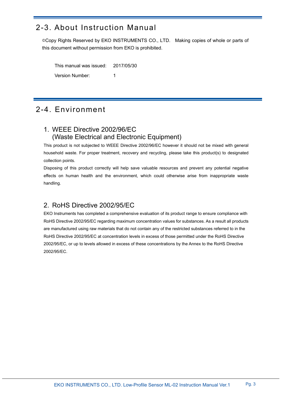# 2-3. About Instruction Manual

©Copy Rights Reserved by EKO INSTRUMENTS CO., LTD. Making copies of whole or parts of this document without permission from EKO is prohibited.

This manual was issued: 2017/05/30 Version Number: 1

# 2-4. Environment

### 1. WEEE Directive 2002/96/EC (Waste Electrical and Electronic Equipment)

This product is not subjected to WEEE Directive 2002/96/EC however it should not be mixed with general household waste. For proper treatment, recovery and recycling, please take this product(s) to designated collection points.

Disposing of this product correctly will help save valuable resources and prevent any potential negative effects on human health and the environment, which could otherwise arise from inappropriate waste handling.

### 2. RoHS Directive 2002/95/EC

EKO Instruments has completed a comprehensive evaluation of its product range to ensure compliance with RoHS Directive 2002/95/EC regarding maximum concentration values for substances. As a result all products are manufactured using raw materials that do not contain any of the restricted substances referred to in the RoHS Directive 2002/95/EC at concentration levels in excess of those permitted under the RoHS Directive 2002/95/EC, or up to levels allowed in excess of these concentrations by the Annex to the RoHS Directive 2002/95/EC.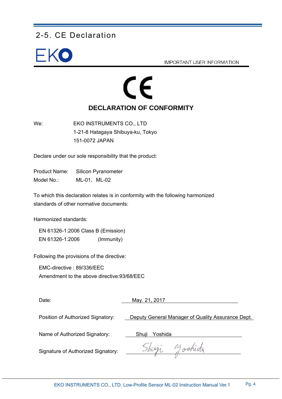# 2-5. CE Declaration



**IMPORTANT USER INFORMATION** 

# CE **DECLARATION OF CONFORMITY**

We: EKO INSTRUMENTS CO., LTD 1-21-8 Hatagaya Shibuya-ku, Tokyo 151-0072 JAPAN

Declare under our sole responsibility that the product:

Product Name: Silicon Pyranometer Model No.: ML-01, ML-02

To which this declaration relates is in conformity with the following harmonized standards of other normative documents:

Harmonized standards:

 EN 61326-1:2006 Class B (Emission) EN 61326-1:2006 (Immunity)

Following the provisions of the directive:

EMC-directive : 89/336/EEC

Amendment to the above directive:93/68/EEC

Date: May. 21, 2017 Position of Authorized Signatory: Deputy General Manager of Quality Assurance Dept. Name of Authorized Signatory: Shuji Yoshida yastida Signature of Authorized Signatory: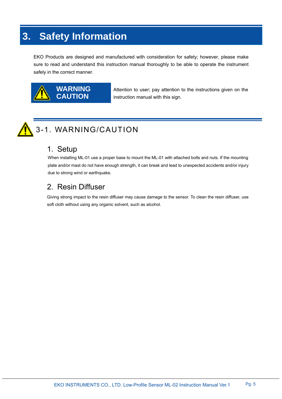# **3. Safety Information**

EKO Products are designed and manufactured with consideration for safety; however, please make sure to read and understand this instruction manual thoroughly to be able to operate the instrument safely in the correct manner.



Attention to user; pay attention to the instructions given on the instruction manual with this sign.



# 3-1. WARNING/CAUTION

### 1.Setup

When installing ML-01 use a proper base to mount the ML-01 with attached bolts and nuts. If the mounting plate and/or mast do not have enough strength, it can break and lead to unexpected accidents and/or injury due to strong wind or earthquake.

# 2. Resin Diffuser

Giving strong impact to the resin diffuser may cause damage to the sensor. To clean the resin diffuser, use soft cloth without using any organic solvent, such as alcohol.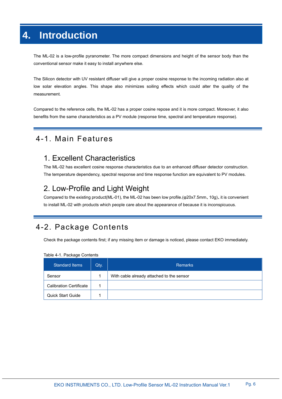# **4. Introduction**

The ML-02 is a low-profile pyranometer. The more compact dimensions and height of the sensor body than the conventional sensor make it easy to install anywhere else.

The Silicon detector with UV resistant diffuser will give a proper cosine response to the incoming radiation also at low solar elevation angles. This shape also minimizes soiling effects which could alter the quality of the measurement.

Compared to the reference cells, the ML-02 has a proper cosine repose and it is more compact. Moreover, it also benefits from the same characteristics as a PV module (response time, spectral and temperature response).

# 4-1. Main Features

# 1. Excellent Characteristics

The ML-02 has excellent cosine response characteristics due to an enhanced diffuser detector construction. The temperature dependency, spectral response and time response function are equivalent to PV modules.

# 2. Low-Profile and Light Weight

Compared to the existing product(ML-01), the ML-02 has been low profile.(φ20x7.5mm、10g)、it is convenient to install ML-02 with products which people care about the appearance of because it is inconspicuous.

# 4-2. Package Contents

Check the package contents first; if any missing item or damage is noticed, please contact EKO immediately.

| <b>Standard Items</b>          | Qty. | <b>Remarks</b>                            |
|--------------------------------|------|-------------------------------------------|
| Sensor                         |      | With cable already attached to the sensor |
| <b>Calibration Certificate</b> |      |                                           |
| <b>Quick Start Guide</b>       |      |                                           |

Table 4-1. Package Contents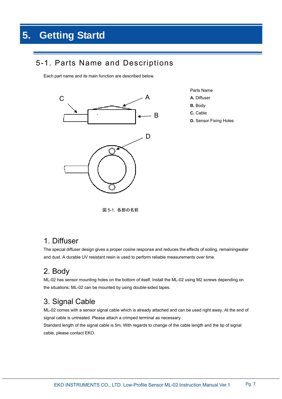# 5-1. Parts Name and Descriptions

Each part name and its main function are described below.



- Parts Name
- **A.** Diffuser
- **B.** Body
- **C.** Cable
- **D.** Sensor Fixing Holes

図 5-1. 各部の名前

# 1. Diffuser

The special diffuser design gives a proper cosine response and reduces the effects of soiling, remainingwater and dust. A durable UV resistant resin is used to perform reliable measurements over time.

# 2. Body

ML-02 has sensor mounting holes on the bottom of itself. Install the ML-02 using M2 screws depending on the situations. ML-02 can be mounted by using double-sided tapes.

# 3. Signal Cable

ML-02 comes with a sensor signal cable which is already attached and can be used right away. At the end of signal cable is untreated. Please attach a crimped terminal as necessary.

Standard length of the signal cable is 5m. With regards to change of the cable length and the tip of signal cable, please contact EKO.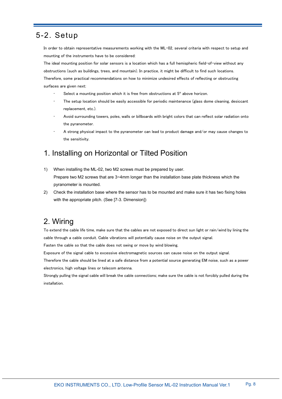# 5-2. Setup

In order to obtain representative measurements working with the ML-02, several criteria with respect to setup and mounting of the instruments have to be considered:

The ideal mounting position for solar sensors is a location which has a full hemispheric field-of-view without any obstructions (such as buildings, trees, and mountain). In practice, it might be difficult to find such locations.

Therefore, some practical recommendations on how to minimize undesired effects of reflecting or obstructing surfaces are given next:

- Select a mounting position which it is free from obstructions at 5° above horizon.
- The setup location should be easily accessible for periodic maintenance (glass dome cleaning, desiccant replacement, etc.).
- Avoid surrounding towers, poles, walls or billboards with bright colors that can reflect solar radiation onto the pyranometer.
- A strong physical impact to the pyranometer can lead to product damage and/or may cause changes to the sensitivity.

# 1. Installing on Horizontal or Tilted Position

- 1) When installing the ML-02, two M2 screws must be prepared by user. Prepare two M2 screws that are 3~4mm longer than the installation base plate thickness which the pyranometer is mounted.
- 2) Check the installation base where the sensor has to be mounted and make sure it has two fixing holes with the appropriate pitch. (See [7-3. Dimension])

# 2. Wiring

To extend the cable life time, make sure that the cables are not exposed to direct sun light or rain/wind by lining the cable through a cable conduit. Cable vibrations will potentially cause noise on the output signal.

Fasten the cable so that the cable does not swing or move by wind blowing.

Exposure of the signal cable to excessive electromagnetic sources can cause noise on the output signal.

Therefore the cable should be lined at a safe distance from a potential source generating EM noise, such as a power electronics, high voltage lines or telecom antenna.

Strongly pulling the signal cable will break the cable connections; make sure the cable is not forcibly pulled during the installation.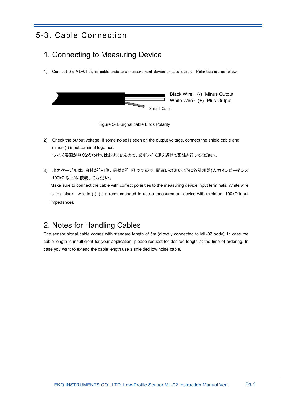# 5-3. Cable Connection

# 1. Connecting to Measuring Device

1) Connect the ML-01 signal cable ends to a measurement device or data logger. Polarities are as follow:





- 2) Check the output voltage. If some noise is seen on the output voltage, connect the shield cable and minus (-) input terminal together. \*ノイズ要因が無くなるわけではありませんので、必ずノイズ源を避けて配線を行ってください。
- 3) 出力ケーブルは、白線が「+」側、黒線が「-」側ですので、間違いの無いように各計測器(入力インピーダンス 100kΩ 以上)に接続してください。 Make sure to connect the cable with correct polarities to the measuring device input terminals. White wire is (+), black wire is (-). (It is recommended to use a measurement device with minimum 100kΩ input impedance).

# 2. Notes for Handling Cables

The sensor signal cable comes with standard length of 5m (directly connected to ML-02 body). In case the cable length is insufficient for your application, please request for desired length at the time of ordering. In case you want to extend the cable length use a shielded low noise cable.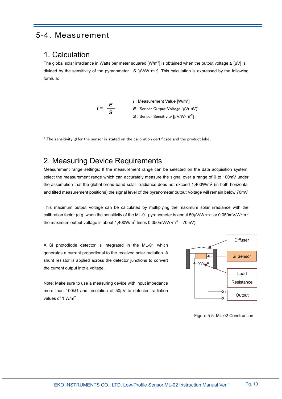# 5-4. Measurement

### 1. Calculation

The global solar irradiance in Watts per meter squared [W/m2] is obtained when the output voltage *E* [μV] is divided by the sensitivity of the pyranometer *S* [μV/W・m-2]. This calculation is expressed by the following formula:



\* The sensitivity  $S$  for the sensor is stated on the calibration certificate and the product label.

### 2. Measuring Device Requirements

Measurement range settings: If the measurement range can be selected on the data acquisition system, select the measurement range which can accurately measure the signal over a range of 0 to 100mV under the assumption that the global broad-band solar irradiance does not exceed  $1,400W/m^2$  (in both horizontal and tilted measurement positions) the signal level of the pyranometer output Voltage will remain below 70mV.

This maximum output Voltage can be calculated by multiplying the maximum solar irradiance with the calibration factor (e.g. when the sensitivity of the ML-01 pyranometer is about  $50\mu$ V/W·m<sup>2</sup> or 0.050mV/W·m<sup>2</sup>, the maximum output voltage is about 1,400W/m<sup>2</sup> times  $0.050$ mV/W·m<sup>-2</sup> = 70mV).

A Si photodiode detector is integrated in the ML-01 which generates a current proportional to the received solar radiation. A shunt resistor is applied across the detector junctions to convert the current output into a voltage.

Note: Make sure to use a measuring device with input impedance more than 100kΩ and resolution of 50μV to detected radiation values of 1 W/m2

.



Figure 5-5. ML-02 Construction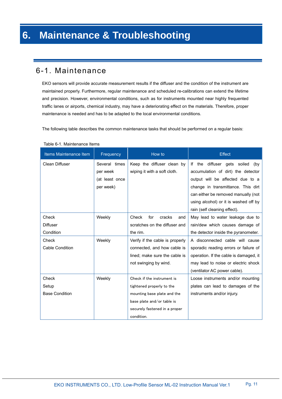### 6-1. Maintenance

EKO sensors will provide accurate measurement results if the diffuser and the condition of the instrument are maintained properly. Furthermore, regular maintenance and scheduled re-calibrations can extend the lifetime and precision. However, environmental conditions, such as for instruments mounted near highly frequented traffic lanes or airports, chemical industry, may have a deteriorating effect on the materials. Therefore, proper maintenance is needed and has to be adapted to the local environmental conditions.

The following table describes the common maintenance tasks that should be performed on a regular basis:

| Items Maintenance Item | Frequency      | How to                          | <b>Effect</b>                          |  |
|------------------------|----------------|---------------------------------|----------------------------------------|--|
| Clean Diffuser         | Several times  | Keep the diffuser clean by      | diffuser gets soiled<br>If the<br>(by  |  |
|                        | per week       | wiping it with a soft cloth.    | accumulation of dirt) the detector     |  |
|                        | (at least once |                                 | output will be affected due to a       |  |
|                        | per week)      |                                 | change in transmittance. This dirt     |  |
|                        |                |                                 | can either be removed manually (not    |  |
|                        |                |                                 | using alcohol) or it is washed off by  |  |
|                        |                |                                 | rain (self cleaning effect).           |  |
| Check                  | Weekly         | Check<br>for<br>cracks<br>and   | May lead to water leakage due to       |  |
| <b>Diffuser</b>        |                | scratches on the diffuser and   | rain/dew which causes damage of        |  |
| Condition              |                | the rim.                        | the detector inside the pyranometer.   |  |
| Check                  | Weekly         | Verify if the cable is properly | A disconnected cable will cause        |  |
| <b>Cable Condition</b> |                | connected, and how cable is     | sporadic reading errors or failure of  |  |
|                        |                | lined: make sure the cable is   | operation. If the cable is damaged, it |  |
|                        |                | not swinging by wind.           | may lead to noise or electric shock    |  |
|                        |                |                                 | (ventilator AC power cable).           |  |
| Check                  | Weekly         | Check if the instrument is      | Loose instruments and/or mounting      |  |
| Setup                  |                | tightened properly to the       | plates can lead to damages of the      |  |
| <b>Base Condition</b>  |                | mounting base plate and the     | instruments and/or injury.             |  |
|                        |                | base plate and/or table is      |                                        |  |
|                        |                | securely fastened in a proper   |                                        |  |
|                        |                | condition.                      |                                        |  |

#### Table 6-1. Maintenance Items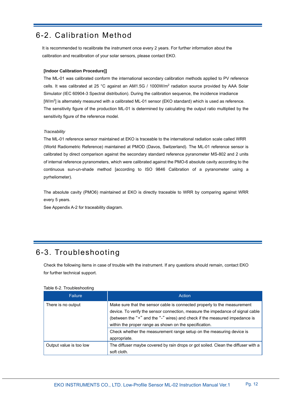# 6-2. Calibration Method

It is recommended to recalibrate the instrument once every 2 years. For further information about the calibration and recalibration of your solar sensors, please contact EKO.

#### **[Indoor Calibration Procedure]]**

The ML-01 was calibrated conform the international secondary calibration methods applied to PV reference cells. It was calibrated at 25 °C against an AM1.5G / 1000W/m2 radiation source provided by AAA Solar Simulator (IEC 60904-3 Spectral distribution). During the calibration sequence, the incidence irradiance [W/m2] is alternately measured with a calibrated ML-01 sensor (EKO standard) which is used as reference. The sensitivity figure of the production ML-01 is determined by calculating the output ratio multiplied by the sensitivity figure of the reference model.

#### *Traceability*

The ML-01 reference sensor maintained at EKO is traceable to the international radiation scale called WRR (World Radiometric Reference) maintained at PMOD (Davos, Switzerland). The ML-01 reference sensor is calibrated by direct comparison against the secondary standard reference pyranometer MS-802 and 2 units of internal reference pyranometers, which were calibrated against the PMO-6 absolute cavity according to the continuous sun-un-shade method [according to ISO 9846 Calibration of a pyranometer using a pyrheliometer).

The absolute cavity (PMO6) maintained at EKO is directly traceable to WRR by comparing against WRR every 5 years.

See Appendix A-2 for traceability diagram.

# 6-3. Troubleshooting

Check the following items in case of trouble with the instrument. If any questions should remain, contact EKO for further technical support.

|  |  | Table 6-2. Troubleshooting |
|--|--|----------------------------|
|--|--|----------------------------|

| <b>Failure</b>          | Action                                                                                                                                                                                                                                                                                             |
|-------------------------|----------------------------------------------------------------------------------------------------------------------------------------------------------------------------------------------------------------------------------------------------------------------------------------------------|
| There is no output      | Make sure that the sensor cable is connected properly to the measurement<br>device. To verify the sensor connection, measure the impedance of signal cable<br>(between the "+" and the "-" wires) and check if the measured impedance is<br>within the proper range as shown on the specification. |
|                         | Check whether the measurement range setup on the measuring device is<br>appropriate.                                                                                                                                                                                                               |
| Output value is too low | The diffuser maybe covered by rain drops or got soiled. Clean the diffuser with a<br>soft cloth.                                                                                                                                                                                                   |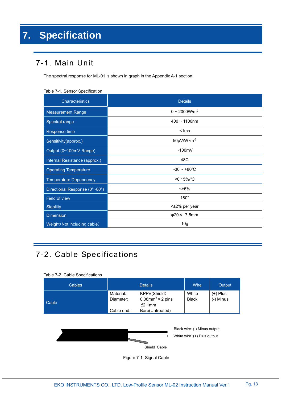# 7-1. Main Unit

The spectral response for ML-01 is shown in graph in the Appendix A-1 section.

|  |  | Table 7-1. Sensor Specification |
|--|--|---------------------------------|
|--|--|---------------------------------|

| Characteristics               | <b>Details</b>            |  |
|-------------------------------|---------------------------|--|
| <b>Measurement Range</b>      | $0 \sim 2000 W/m^2$       |  |
| Spectral range                | $400 \sim 1100$ nm        |  |
| Response time                 | < 1ms                     |  |
| Sensitivity(approx.)          | $50 \mu V/W \cdot m^{-2}$ |  |
| Output (0~100mV Range)        | ~100mV                    |  |
| Internal Resistance (approx.) | 48Ω                       |  |
| <b>Operating Temperature</b>  | $-30 \sim +80^{\circ}$ C  |  |
| <b>Temperature Dependency</b> | $< 0.15\%$ /°C            |  |
| Directional Response (0°~80°) | $<\pm 5\%$                |  |
| Field of view                 | $180^\circ$               |  |
| <b>Stability</b>              | <±2% per year             |  |
| <b>Dimension</b>              | $\varphi$ 20 × 7.5mm      |  |
| Weight (Not including cable)  | 10 <sub>g</sub>           |  |

# 7-2. Cable Specifications

#### Table 7-2. Cable Specifications

| <b>Cables</b> |                        | <b>Details</b>                                                  | Wire                  | Output                  |
|---------------|------------------------|-----------------------------------------------------------------|-----------------------|-------------------------|
| Cable         | Material:<br>Diameter: | KPPV(Shield)<br>$0.08$ mm <sup>2</sup> × 2 pins<br>$\phi$ 2.1mm | White<br><b>Black</b> | $(+)$ Plus<br>(-) Minus |
|               | Cable end:             | Bare(Untreated)                                                 |                       |                         |



Figure 7-1. Signal Cable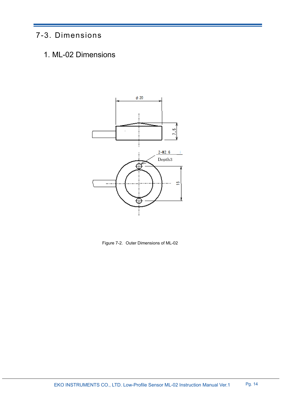# 7-3. Dimensions

1. ML-02 Dimensions



Figure 7-2. Outer Dimensions of ML-02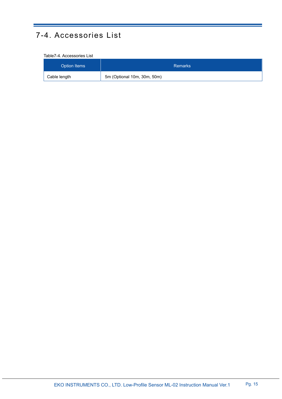# 7-4. Accessories List

#### Table7-4. Accessories List

| Option Items | <b>Remarks</b>              |  |
|--------------|-----------------------------|--|
| Cable length | 5m (Optional 10m, 30m, 50m) |  |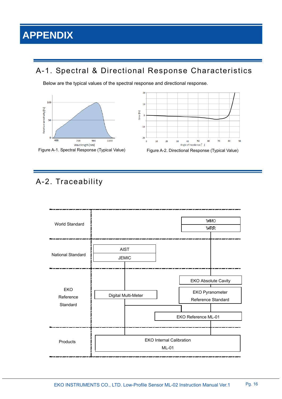# **APPENDIX**

# A-1. Spectral & Directional Response Characteristics

Below are the typical values of the spectral response and directional response.









# A-2. Traceability